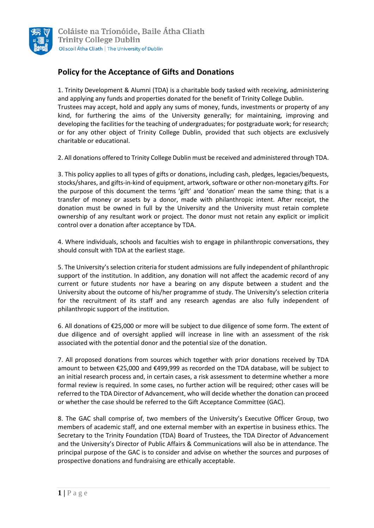

## **Policy for the Acceptance of Gifts and Donations**

1. Trinity Development & Alumni (TDA) is a charitable body tasked with receiving, administering and applying any funds and properties donated for the benefit of Trinity College Dublin. Trustees may accept, hold and apply any sums of money, funds, investments or property of any kind, for furthering the aims of the University generally; for maintaining, improving and developing the facilities for the teaching of undergraduates; for postgraduate work; for research; or for any other object of Trinity College Dublin, provided that such objects are exclusively charitable or educational.

2. All donations offered to Trinity College Dublin must be received and administered through TDA.

3. This policy applies to all types of gifts or donations, including cash, pledges, legacies/bequests, stocks/shares, and gifts-in-kind of equipment, artwork, software or other non-monetary gifts. For the purpose of this document the terms 'gift' and 'donation' mean the same thing; that is a transfer of money or assets by a donor, made with philanthropic intent. After receipt, the donation must be owned in full by the University and the University must retain complete ownership of any resultant work or project. The donor must not retain any explicit or implicit control over a donation after acceptance by TDA.

4. Where individuals, schools and faculties wish to engage in philanthropic conversations, they should consult with TDA at the earliest stage.

5. The University's selection criteria for student admissions are fully independent of philanthropic support of the institution. In addition, any donation will not affect the academic record of any current or future students nor have a bearing on any dispute between a student and the University about the outcome of his/her programme of study. The University's selection criteria for the recruitment of its staff and any research agendas are also fully independent of philanthropic support of the institution.

6. All donations of €25,000 or more will be subject to due diligence of some form. The extent of due diligence and of oversight applied will increase in line with an assessment of the risk associated with the potential donor and the potential size of the donation.

7. All proposed donations from sources which together with prior donations received by TDA amount to between €25,000 and €499,999 as recorded on the TDA database, will be subject to an initial research process and, in certain cases, a risk assessment to determine whether a more formal review is required. In some cases, no further action will be required; other cases will be referred to the TDA Director of Advancement, who will decide whether the donation can proceed or whether the case should be referred to the Gift Acceptance Committee (GAC).

8. The GAC shall comprise of, two members of the University's Executive Officer Group, two members of academic staff, and one external member with an expertise in business ethics. The Secretary to the Trinity Foundation (TDA) Board of Trustees, the TDA Director of Advancement and the University's Director of Public Affairs & Communications will also be in attendance. The principal purpose of the GAC is to consider and advise on whether the sources and purposes of prospective donations and fundraising are ethically acceptable.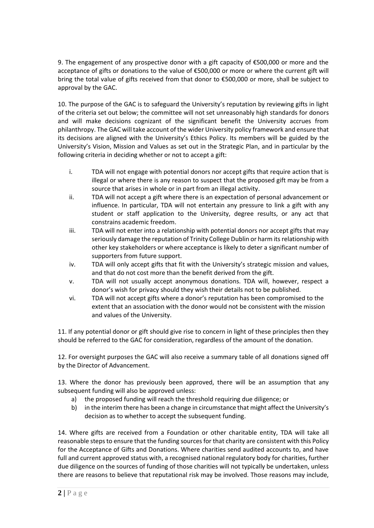9. The engagement of any prospective donor with a gift capacity of €500,000 or more and the acceptance of gifts or donations to the value of €500,000 or more or where the current gift will bring the total value of gifts received from that donor to €500,000 or more, shall be subject to approval by the GAC.

10. The purpose of the GAC is to safeguard the University's reputation by reviewing gifts in light of the criteria set out below; the committee will not set unreasonably high standards for donors and will make decisions cognizant of the significant benefit the University accrues from philanthropy. The GAC will take account of the wider University policy framework and ensure that its decisions are aligned with the University's Ethics Policy. Its members will be guided by the University's Vision, Mission and Values as set out in the Strategic Plan, and in particular by the following criteria in deciding whether or not to accept a gift:

- i. TDA will not engage with potential donors nor accept gifts that require action that is illegal or where there is any reason to suspect that the proposed gift may be from a source that arises in whole or in part from an illegal activity.
- ii. TDA will not accept a gift where there is an expectation of personal advancement or influence. In particular, TDA will not entertain any pressure to link a gift with any student or staff application to the University, degree results, or any act that constrains academic freedom.
- iii. TDA will not enter into a relationship with potential donors nor accept gifts that may seriously damage the reputation of Trinity College Dublin or harm its relationship with other key stakeholders or where acceptance is likely to deter a significant number of supporters from future support.
- iv. TDA will only accept gifts that fit with the University's strategic mission and values, and that do not cost more than the benefit derived from the gift.
- v. TDA will not usually accept anonymous donations. TDA will, however, respect a donor's wish for privacy should they wish their details not to be published.
- vi. TDA will not accept gifts where a donor's reputation has been compromised to the extent that an association with the donor would not be consistent with the mission and values of the University.

11. If any potential donor or gift should give rise to concern in light of these principles then they should be referred to the GAC for consideration, regardless of the amount of the donation.

12. For oversight purposes the GAC will also receive a summary table of all donations signed off by the Director of Advancement.

13. Where the donor has previously been approved, there will be an assumption that any subsequent funding will also be approved unless:

- a) the proposed funding will reach the threshold requiring due diligence; or
- b) in the interim there has been a change in circumstance that might affect the University's decision as to whether to accept the subsequent funding.

14. Where gifts are received from a Foundation or other charitable entity, TDA will take all reasonable steps to ensure that the funding sources for that charity are consistent with this Policy for the Acceptance of Gifts and Donations. Where charities send audited accounts to, and have full and current approved status with, a recognised national regulatory body for charities, further due diligence on the sources of funding of those charities will not typically be undertaken, unless there are reasons to believe that reputational risk may be involved. Those reasons may include,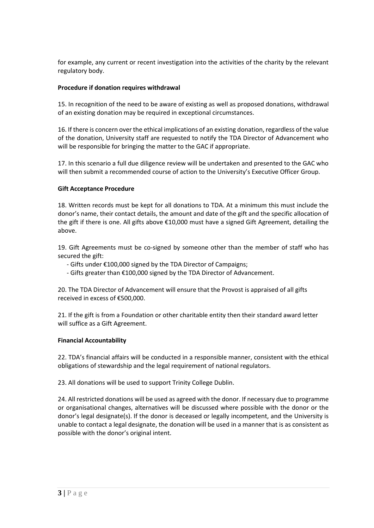for example, any current or recent investigation into the activities of the charity by the relevant regulatory body.

### **Procedure if donation requires withdrawal**

15. In recognition of the need to be aware of existing as well as proposed donations, withdrawal of an existing donation may be required in exceptional circumstances.

16. If there is concern over the ethical implications of an existing donation, regardless of the value of the donation, University staff are requested to notify the TDA Director of Advancement who will be responsible for bringing the matter to the GAC if appropriate.

17. In this scenario a full due diligence review will be undertaken and presented to the GAC who will then submit a recommended course of action to the University's Executive Officer Group.

## **Gift Acceptance Procedure**

18. Written records must be kept for all donations to TDA. At a minimum this must include the donor's name, their contact details, the amount and date of the gift and the specific allocation of the gift if there is one. All gifts above €10,000 must have a signed Gift Agreement, detailing the above.

19. Gift Agreements must be co-signed by someone other than the member of staff who has secured the gift:

- Gifts under €100,000 signed by the TDA Director of Campaigns;

- Gifts greater than €100,000 signed by the TDA Director of Advancement.

20. The TDA Director of Advancement will ensure that the Provost is appraised of all gifts received in excess of €500,000.

21. If the gift is from a Foundation or other charitable entity then their standard award letter will suffice as a Gift Agreement.

#### **Financial Accountability**

22. TDA's financial affairs will be conducted in a responsible manner, consistent with the ethical obligations of stewardship and the legal requirement of national regulators.

23. All donations will be used to support Trinity College Dublin.

24. All restricted donations will be used as agreed with the donor. If necessary due to programme or organisational changes, alternatives will be discussed where possible with the donor or the donor's legal designate(s). If the donor is deceased or legally incompetent, and the University is unable to contact a legal designate, the donation will be used in a manner that is as consistent as possible with the donor's original intent.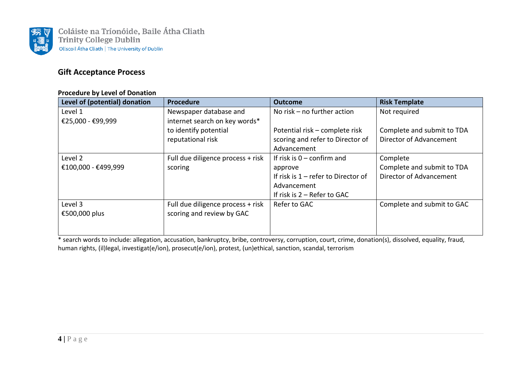

## **Gift Acceptance Process**

#### **Procedure by Level of Donation**

| Level of (potential) donation | <b>Procedure</b>                  | <b>Outcome</b>                      | <b>Risk Template</b>       |
|-------------------------------|-----------------------------------|-------------------------------------|----------------------------|
| Level 1                       | Newspaper database and            | No risk $-$ no further action       | Not required               |
| €25,000 - €99,999             | internet search on key words*     |                                     |                            |
|                               | to identify potential             | Potential risk - complete risk      | Complete and submit to TDA |
|                               | reputational risk                 | scoring and refer to Director of    | Director of Advancement    |
|                               |                                   | Advancement                         |                            |
| Level 2                       | Full due diligence process + risk | If risk is $0$ – confirm and        | Complete                   |
| €100,000 - €499,999           | scoring                           | approve                             | Complete and submit to TDA |
|                               |                                   | If risk is 1 – refer to Director of | Director of Advancement    |
|                               |                                   | Advancement                         |                            |
|                               |                                   | If risk is $2 -$ Refer to GAC       |                            |
| Level 3                       | Full due diligence process + risk | Refer to GAC                        | Complete and submit to GAC |
| €500,000 plus                 | scoring and review by GAC         |                                     |                            |
|                               |                                   |                                     |                            |
|                               |                                   |                                     |                            |

\* search words to include: allegation, accusation, bankruptcy, bribe, controversy, corruption, court, crime, donation(s), dissolved, equality, fraud, human rights, (il)legal, investigat(e/ion), prosecut(e/ion), protest, (un)ethical, sanction, scandal, terrorism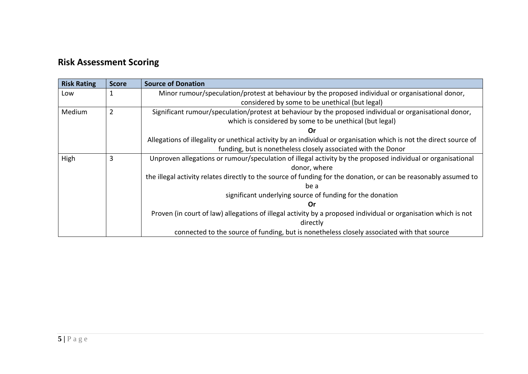# **Risk Assessment Scoring**

| <b>Risk Rating</b> | <b>Score</b>   | <b>Source of Donation</b>                                                                                          |
|--------------------|----------------|--------------------------------------------------------------------------------------------------------------------|
| Low                |                | Minor rumour/speculation/protest at behaviour by the proposed individual or organisational donor,                  |
|                    |                | considered by some to be unethical (but legal)                                                                     |
| Medium             | $\overline{2}$ | Significant rumour/speculation/protest at behaviour by the proposed individual or organisational donor,            |
|                    |                | which is considered by some to be unethical (but legal)                                                            |
|                    |                | Or                                                                                                                 |
|                    |                | Allegations of illegality or unethical activity by an individual or organisation which is not the direct source of |
|                    |                | funding, but is nonetheless closely associated with the Donor                                                      |
| High               | 3              | Unproven allegations or rumour/speculation of illegal activity by the proposed individual or organisational        |
|                    |                | donor, where                                                                                                       |
|                    |                | the illegal activity relates directly to the source of funding for the donation, or can be reasonably assumed to   |
|                    |                | be a                                                                                                               |
|                    |                | significant underlying source of funding for the donation                                                          |
|                    |                | Or                                                                                                                 |
|                    |                | Proven (in court of law) allegations of illegal activity by a proposed individual or organisation which is not     |
|                    |                | directly                                                                                                           |
|                    |                | connected to the source of funding, but is nonetheless closely associated with that source                         |